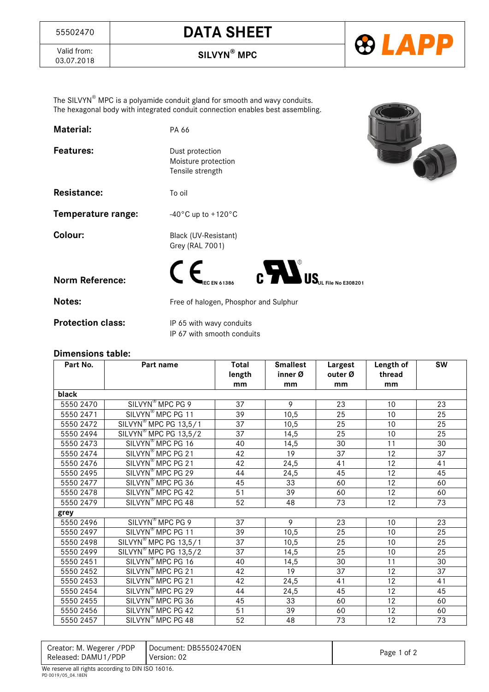## <sup>55502470</sup> **DATA SHEET**



Valid from:<br>03.07.2018

03.07.2018 **SILVYN® MPC**

The SILVYN® MPC is a polyamide conduit gland for smooth and wavy conduits. The hexagonal body with integrated conduit connection enables best assembling.

**Material:** PA 66

| <b>Material:</b> |
|------------------|
|------------------|

Features: Dust protection

Resistance: To oil

Moisture protection Tensile strength

**Temperature range:**  $-40^{\circ}$ C up to +120 $^{\circ}$ C

**Colour:** Black (UV-Resistant) Grey (RAL 7001)



**Notes:** Free of halogen, Phosphor and Sulphur

**Protection class:** IP 65 with wavy conduits IP 67 with smooth conduits

## **Dimensions table:**

| Part No.  | Part name                         | <b>Total</b>    | <b>Smallest</b> | Largest         | Length of | <b>SW</b>       |
|-----------|-----------------------------------|-----------------|-----------------|-----------------|-----------|-----------------|
|           |                                   | length          | inner Ø         | outer Ø         | thread    |                 |
|           |                                   | mm              | mm              | mm              | mm        |                 |
| black     |                                   |                 |                 |                 |           |                 |
| 5550 2470 | SILVYN <sup>®</sup> MPC PG 9      | 37              | 9               | 23              | 10        | 23              |
| 5550 2471 | SILVYN <sup>®</sup> MPC PG 11     | 39              | 10,5            | 25              | 10        | 25              |
| 5550 2472 | SILVYN <sup>®</sup> MPC PG 13,5/1 | $\overline{37}$ | 10,5            | 25              | 10        | 25              |
| 5550 2494 | SILVYN <sup>®</sup> MPC PG 13,5/2 | 37              | 14,5            | 25              | 10        | 25              |
| 5550 2473 | SILVYN <sup>®</sup> MPC PG 16     | 40              | 14,5            | 30              | 11        | 30              |
| 5550 2474 | SILVYN <sup>®</sup> MPC PG 21     | 42              | 19              | 37              | 12        | 37              |
| 5550 2476 | SILVYN <sup>®</sup> MPC PG 21     | 42              | 24,5            | 41              | 12        | 41              |
| 5550 2495 | SILVYN <sup>®</sup> MPC PG 29     | 44              | 24,5            | 45              | 12        | 45              |
| 5550 2477 | SILVYN <sup>®</sup> MPC PG 36     | 45              | 33              | 60              | 12        | 60              |
| 5550 2478 | SILVYN <sup>®</sup> MPC PG 42     | 51              | 39              | 60              | 12        | 60              |
| 5550 2479 | SILVYN <sup>®</sup> MPC PG 48     | 52              | 48              | $\overline{73}$ | 12        | $\overline{73}$ |
| grey      |                                   |                 |                 |                 |           |                 |
| 5550 2496 | SILVYN <sup>®</sup> MPC PG 9      | 37              | 9               | 23              | 10        | 23              |
| 5550 2497 | SILVYN <sup>®</sup> MPC PG 11     | 39              | 10,5            | 25              | 10        | 25              |
| 5550 2498 | SILVYN <sup>®</sup> MPC PG 13,5/1 | $\overline{37}$ | 10,5            | 25              | 10        | 25              |
| 5550 2499 | SILVYN <sup>®</sup> MPC PG 13,5/2 | 37              | 14,5            | 25              | 10        | 25              |
| 5550 2451 | SILVYN <sup>®</sup> MPC PG 16     | 40              | 14,5            | 30              | 11        | 30              |
| 5550 2452 | SILVYN <sup>®</sup> MPC PG 21     | 42              | 19              | 37              | 12        | 37              |
| 5550 2453 | SILVYN <sup>®</sup> MPC PG 21     | 42              | 24,5            | 41              | 12        | 41              |
| 5550 2454 | SILVYN <sup>®</sup> MPC PG 29     | 44              | 24,5            | 45              | 12        | 45              |
| 5550 2455 | SILVYN <sup>®</sup> MPC PG 36     | 45              | 33              | 60              | 12        | 60              |
| 5550 2456 | SILVYN <sup>®</sup> MPC PG 42     | 51              | 39              | 60              | 12        | 60              |
| 5550 2457 | SILVYN <sup>®</sup> MPC PG 48     | 52              | 48              | 73              | 12        | 73              |

| Creator: M. Wegerer / PDP | Document: DB55502470EN |             |  |
|---------------------------|------------------------|-------------|--|
| Released: DAMU1/PDP       | Version: 02            | Page 1 of 2 |  |